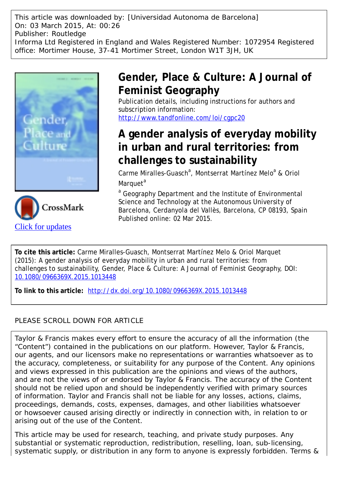This article was downloaded by: [Universidad Autonoma de Barcelona] On: 03 March 2015, At: 00:26 Publisher: Routledge Informa Ltd Registered in England and Wales Registered Number: 1072954 Registered office: Mortimer House, 37-41 Mortimer Street, London W1T 3JH, UK



[Click for updates](http://crossmark.crossref.org/dialog/?doi=10.1080/0966369X.2015.1013448&domain=pdf&date_stamp=2015-03-02)

# **Gender, Place & Culture: A Journal of Feminist Geography**

Publication details, including instructions for authors and subscription information: <http://www.tandfonline.com/loi/cgpc20>

# **A gender analysis of everyday mobility in urban and rural territories: from challenges to sustainability**

Carme Miralles-Guasch<sup>a</sup>, Montserrat Martínez Melo<sup>a</sup> & Oriol Marquet<sup>a</sup>

<sup>a</sup> Geography Department and the Institute of Environmental Science and Technology at the Autonomous University of Barcelona, Cerdanyola del Vallès, Barcelona, CP 08193, Spain Published online: 02 Mar 2015.

**To cite this article:** Carme Miralles-Guasch, Montserrat Martínez Melo & Oriol Marquet (2015): A gender analysis of everyday mobility in urban and rural territories: from challenges to sustainability, Gender, Place & Culture: A Journal of Feminist Geography, DOI: [10.1080/0966369X.2015.1013448](http://www.tandfonline.com/action/showCitFormats?doi=10.1080/0966369X.2015.1013448)

**To link to this article:** <http://dx.doi.org/10.1080/0966369X.2015.1013448>

# PLEASE SCROLL DOWN FOR ARTICLE

Taylor & Francis makes every effort to ensure the accuracy of all the information (the "Content") contained in the publications on our platform. However, Taylor & Francis, our agents, and our licensors make no representations or warranties whatsoever as to the accuracy, completeness, or suitability for any purpose of the Content. Any opinions and views expressed in this publication are the opinions and views of the authors, and are not the views of or endorsed by Taylor & Francis. The accuracy of the Content should not be relied upon and should be independently verified with primary sources of information. Taylor and Francis shall not be liable for any losses, actions, claims, proceedings, demands, costs, expenses, damages, and other liabilities whatsoever or howsoever caused arising directly or indirectly in connection with, in relation to or arising out of the use of the Content.

This article may be used for research, teaching, and private study purposes. Any substantial or systematic reproduction, redistribution, reselling, loan, sub-licensing, systematic supply, or distribution in any form to anyone is expressly forbidden. Terms &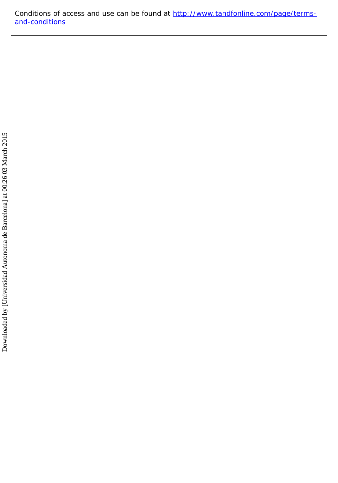Conditions of access and use can be found at [http://www.tandfonline.com/page/terms](http://www.tandfonline.com/page/terms-and-conditions)[and-conditions](http://www.tandfonline.com/page/terms-and-conditions)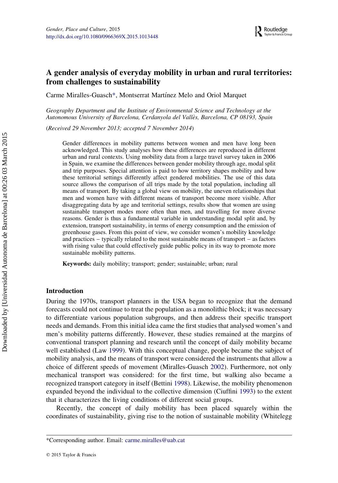Carme Miralles-Guasch\*, Montserrat Martínez Melo and Oriol Marquet

Geography Department and the Institute of Environmental Science and Technology at the Autonomous University of Barcelona, Cerdanyola del Valle`s, Barcelona, CP 08193, Spain

(Received 29 November 2013; accepted 7 November 2014)

Gender differences in mobility patterns between women and men have long been acknowledged. This study analyses how these differences are reproduced in different urban and rural contexts. Using mobility data from a large travel survey taken in 2006 in Spain, we examine the differences between gender mobility through age, modal split and trip purposes. Special attention is paid to how territory shapes mobility and how these territorial settings differently affect gendered mobilities. The use of this data source allows the comparison of all trips made by the total population, including all means of transport. By taking a global view on mobility, the uneven relationships that men and women have with different means of transport become more visible. After disaggregating data by age and territorial settings, results show that women are using sustainable transport modes more often than men, and travelling for more diverse reasons. Gender is thus a fundamental variable in understanding modal split and, by extension, transport sustainability, in terms of energy consumption and the emission of greenhouse gases. From this point of view, we consider women's mobility knowledge and practices – typically related to the most sustainable means of transport – as factors with rising value that could effectively guide public policy in its way to promote more sustainable mobility patterns.

Keywords: daily mobility; transport; gender; sustainable; urban; rural

#### Introduction

During the 1970s, transport planners in the USA began to recognize that the demand forecasts could not continue to treat the population as a monolithic block; it was necessary to differentiate various population subgroups, and then address their specific transport needs and demands. From this initial idea came the first studies that analysed women's and men's mobility patterns differently. However, these studies remained at the margins of conventional transport planning and research until the concept of daily mobility became well established (Law [1999\)](#page-18-0). With this conceptual change, people became the subject of mobility analysis, and the means of transport were considered the instruments that allow a choice of different speeds of movement (Miralles-Guasch [2002](#page-19-0)). Furthermore, not only mechanical transport was considered: for the first time, but walking also became a recognized transport category in itself (Bettini [1998\)](#page-17-0). Likewise, the mobility phenomenon expanded beyond the individual to the collective dimension (Ciuffini [1993](#page-17-0)) to the extent that it characterizes the living conditions of different social groups.

Recently, the concept of daily mobility has been placed squarely within the coordinates of sustainability, giving rise to the notion of sustainable mobility (Whitelegg

<sup>\*</sup>Corresponding author. Email: [carme.miralles@uab.cat](mailto:carme.miralles@uab.cat)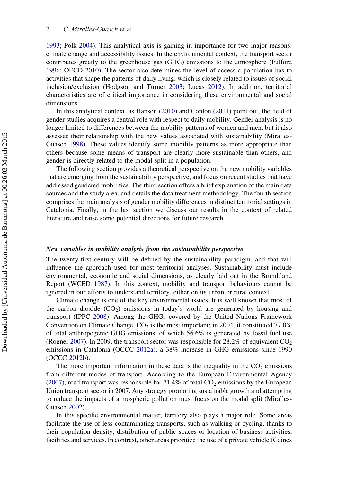[1993](#page-20-0); Polk [2004](#page-19-0)). This analytical axis is gaining in importance for two major reasons: climate change and accessibility issues. In the environmental context, the transport sector contributes greatly to the greenhouse gas (GHG) emissions to the atmosphere (Fulford [1996](#page-18-0); OECD [2010](#page-19-0)). The sector also determines the level of access a population has to activities that shape the patterns of daily living, which is closely related to issues of social inclusion/exclusion (Hodgson and Turner [2003](#page-18-0); Lucas [2012](#page-19-0)). In addition, territorial characteristics are of critical importance in considering these environmental and social dimensions.

In this analytical context, as Hanson [\(2010](#page-18-0)) and Conlon [\(2011](#page-17-0)) point out, the field of gender studies acquires a central role with respect to daily mobility. Gender analysis is no longer limited to differences between the mobility patterns of women and men, but it also assesses their relationship with the new values associated with sustainability (Miralles-Guasch [1998](#page-19-0)). These values identify some mobility patterns as more appropriate than others because some means of transport are clearly more sustainable than others, and gender is directly related to the modal split in a population.

The following section provides a theoretical perspective on the new mobility variables that are emerging from the sustainability perspective, and focus on recent studies that have addressed gendered mobilities. The third section offers a brief explanation of the main data sources and the study area, and details the data treatment methodology. The fourth section comprises the main analysis of gender mobility differences in distinct territorial settings in Catalonia. Finally, in the last section we discuss our results in the context of related literature and raise some potential directions for future research.

#### New variables in mobility analysis from the sustainability perspective

The twenty-first century will be defined by the sustainability paradigm, and that will influence the approach used for most territorial analyses. Sustainability must include environmental, economic and social dimensions, as clearly laid out in the Brundtland Report (WCED [1987](#page-20-0)). In this context, mobility and transport behaviours cannot be ignored in our efforts to understand territory, either on its urban or rural context.

Climate change is one of the key environmental issues. It is well known that most of the carbon dioxide  $(CO<sub>2</sub>)$  emissions in today's world are generated by housing and transport (IPPC [2008\)](#page-18-0). Among the GHGs covered by the United Nations Framework Convention on Climate Change,  $CO<sub>2</sub>$  is the most important; in 2004, it constituted 77.0% of total anthropogenic GHG emissions, of which 56.6% is generated by fossil fuel use (Rogner [2007](#page-19-0)). In 2009, the transport sector was responsible for  $28.2\%$  of equivalent CO<sub>2</sub> emissions in Catalonia (OCCC [2012a\)](#page-19-0), a 38% increase in GHG emissions since 1990 (OCCC [2012b\)](#page-19-0).

The more important information in these data is the inequality in the  $CO<sub>2</sub>$  emissions from different modes of transport. According to the European Environmental Agency ([2007\)](#page-18-0), road transport was responsible for 71.4% of total  $CO<sub>2</sub>$  emissions by the European Union transport sector in 2007. Any strategy promoting sustainable growth and attempting to reduce the impacts of atmospheric pollution must focus on the modal split (Miralles-Guasch [2002](#page-19-0)).

In this specific environmental matter, territory also plays a major role. Some areas facilitate the use of less contaminating transports, such as walking or cycling, thanks to their population density, distribution of public spaces or location of business activities, facilities and services. In contrast, other areas prioritize the use of a private vehicle (Gaines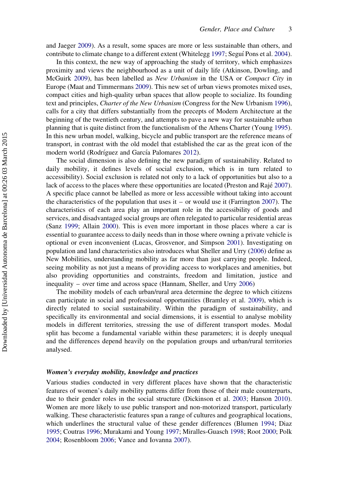and Jaeger [2009](#page-18-0)). As a result, some spaces are more or less sustainable than others, and contribute to climate change to a different extent (Whitelegg [1997](#page-20-0); Seguí Pons et al. [2004](#page-20-0)).

In this context, the new way of approaching the study of territory, which emphasizes proximity and views the neighbourhood as a unit of daily life (Atkinson, Dowling, and McGuirk [2009\)](#page-17-0), has been labelled as New Urbanism in the USA or Compact City in Europe (Maat and Timmermans [2009](#page-19-0)). This new set of urban views promotes mixed uses, compact cities and high-quality urban spaces that allow people to socialize. Its founding text and principles, Charter of the New Urbanism (Congress for the New Urbanism [1996](#page-17-0)), calls for a city that differs substantially from the precepts of Modern Architecture at the beginning of the twentieth century, and attempts to pave a new way for sustainable urban planning that is quite distinct from the functionalism of the Athens Charter (Young [1995](#page-20-0)). In this new urban model, walking, bicycle and public transport are the reference means of transport, in contrast with the old model that established the car as the great icon of the modern world (Rodríguez and García Palomares [2012\)](#page-19-0).

The social dimension is also defining the new paradigm of sustainability. Related to daily mobility, it defines levels of social exclusion, which is in turn related to accessibility). Social exclusion is related not only to a lack of opportunities but also to a lack of access to the places where these opportunities are located (Preston and Rajé [2007](#page-19-0)). A specific place cannot be labelled as more or less accessible without taking into account the characteristics of the population that uses it – or would use it (Farrington [2007\)](#page-18-0). The characteristics of each area play an important role in the accessibility of goods and services, and disadvantaged social groups are often relegated to particular residential areas (Sanz [1999;](#page-20-0) Allain [2000](#page-17-0)). This is even more important in those places where a car is essential to guarantee access to daily needs than in those where owning a private vehicle is optional or even inconvenient (Lucas, Grosvenor, and Simpson [2001\)](#page-19-0). Investigating on population and land characteristics also introduces what Sheller and Urry [\(2006](#page-20-0)) define as New Mobilities, understanding mobility as far more than just carrying people. Indeed, seeing mobility as not just a means of providing access to workplaces and amenities, but also providing opportunities and constraints, freedom and limitation, justice and inequality – over time and across space (Hannam, Sheller, and Urry [2006](#page-18-0))

The mobility models of each urban/rural area determine the degree to which citizens can participate in social and professional opportunities (Bramley et al. [2009\)](#page-17-0), which is directly related to social sustainability. Within the paradigm of sustainability, and specifically its environmental and social dimensions, it is essential to analyse mobility models in different territories, stressing the use of different transport modes. Modal split has become a fundamental variable within these parameters; it is deeply unequal and the differences depend heavily on the population groups and urban/rural territories analysed.

#### Women's everyday mobility, knowledge and practices

Various studies conducted in very different places have shown that the characteristic features of women's daily mobility patterns differ from those of their male counterparts, due to their gender roles in the social structure (Dickinson et al. [2003](#page-18-0); Hanson [2010](#page-18-0)). Women are more likely to use public transport and non-motorized transport, particularly walking. These characteristic features span a range of cultures and geographical locations, which underlines the structural value of these gender differences (Blumen [1994](#page-17-0); Diaz [1995](#page-18-0); Coutras [1996;](#page-18-0) Murakami and Young [1997](#page-19-0); Miralles-Guasch [1998;](#page-19-0) Root [2000](#page-20-0); Polk [2004](#page-19-0); Rosenbloom [2006;](#page-20-0) Vance and Iovanna [2007\)](#page-20-0).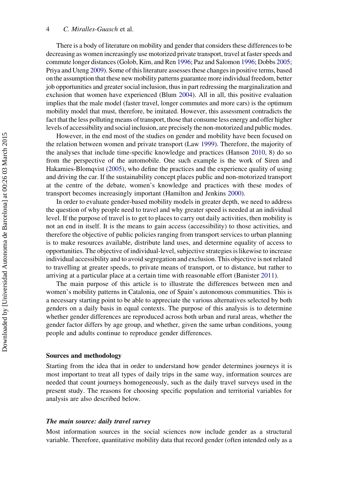There is a body of literature on mobility and gender that considers these differences to be decreasing as women increasingly use motorized private transport, travel at faster speeds and commute longer distances (Golob, Kim, and Ren [1996](#page-18-0); Paz and Salomon [1996](#page-19-0); Dobbs [2005](#page-18-0); Priya and Uteng [2009](#page-19-0)). Some of this literature assesses these changes in positive terms, based on the assumption that these new mobility patterns guarantee more individual freedom, better job opportunities and greater social inclusion, thus in part redressing the marginalization and exclusion that women have experienced (Blum [2004\)](#page-17-0). All in all, this positive evaluation implies that the male model (faster travel, longer commutes and more cars) is the optimum mobility model that must, therefore, be imitated. However, this assessment contradicts the fact that the less polluting means of transport, those that consume less energy and offer higher levels of accessibility and social inclusion, are precisely the non-motorized and public modes.

However, in the end most of the studies on gender and mobility have been focused on the relation between women and private transport (Law [1999](#page-18-0)). Therefore, the majority of the analyses that include time-specific knowledge and practices (Hanson [2010,](#page-18-0) 8) do so from the perspective of the automobile. One such example is the work of Siren and Hakamies-Blomqvist [\(2005](#page-20-0)), who define the practices and the experience quality of using and driving the car. If the sustainability concept places public and non-motorized transport at the centre of the debate, women's knowledge and practices with these modes of transport becomes increasingly important (Hamilton and Jenkins [2000](#page-18-0)).

In order to evaluate gender-based mobility models in greater depth, we need to address the question of why people need to travel and why greater speed is needed at an individual level. If the purpose of travel is to get to places to carry out daily activities, then mobility is not an end in itself. It is the means to gain access (accessibility) to those activities, and therefore the objective of public policies ranging from transport services to urban planning is to make resources available, distribute land uses, and determine equality of access to opportunities. The objective of individual-level, subjective strategies is likewise to increase individual accessibility and to avoid segregation and exclusion. This objective is not related to travelling at greater speeds, to private means of transport, or to distance, but rather to arriving at a particular place at a certain time with reasonable effort (Banister [2011\)](#page-17-0).

The main purpose of this article is to illustrate the differences between men and women's mobility patterns in Catalonia, one of Spain's autonomous communities. This is a necessary starting point to be able to appreciate the various alternatives selected by both genders on a daily basis in equal contexts. The purpose of this analysis is to determine whether gender differences are reproduced across both urban and rural areas, whether the gender factor differs by age group, and whether, given the same urban conditions, young people and adults continue to reproduce gender differences.

#### Sources and methodology

Starting from the idea that in order to understand how gender determines journeys it is most important to treat all types of daily trips in the same way, information sources are needed that count journeys homogeneously, such as the daily travel surveys used in the present study. The reasons for choosing specific population and territorial variables for analysis are also described below.

#### The main source: daily travel survey

Most information sources in the social sciences now include gender as a structural variable. Therefore, quantitative mobility data that record gender (often intended only as a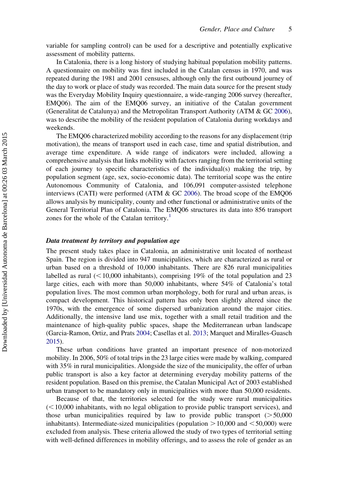variable for sampling control) can be used for a descriptive and potentially explicative assessment of mobility patterns.

In Catalonia, there is a long history of studying habitual population mobility patterns. A questionnaire on mobility was first included in the Catalan census in 1970, and was repeated during the 1981 and 2001 censuses, although only the first outbound journey of the day to work or place of study was recorded. The main data source for the present study was the Everyday Mobility Inquiry questionnaire, a wide-ranging 2006 survey (hereafter, EMQ06). The aim of the EMQ06 survey, an initiative of the Catalan government (Generalitat de Catalunya) and the Metropolitan Transport Authority (ATM & GC [2006](#page-17-0)), was to describe the mobility of the resident population of Catalonia during workdays and weekends.

The EMQ06 characterized mobility according to the reasons for any displacement (trip motivation), the means of transport used in each case, time and spatial distribution, and average time expenditure. A wide range of indicators were included, allowing a comprehensive analysis that links mobility with factors ranging from the territorial setting of each journey to specific characteristics of the individual(s) making the trip, by population segment (age, sex, socio-economic data). The territorial scope was the entire Autonomous Community of Catalonia, and 106,091 computer-assisted telephone interviews (CATI) were performed (ATM & GC [2006](#page-17-0)). The broad scope of the EMQ06 allows analysis by municipality, county and other functional or administrative units of the General Territorial Plan of Catalonia. The EMQ06 structures its data into 856 transport zones for the whole of the Catalan territory.<sup>[1](#page-17-0)</sup>

### Data treatment by territory and population age

The present study takes place in Catalonia, an administrative unit located of northeast Spain. The region is divided into 947 municipalities, which are characterized as rural or urban based on a threshold of 10,000 inhabitants. There are 826 rural municipalities labelled as rural  $($  < 10,000 inhabitants), comprising 19% of the total population and 23 large cities, each with more than 50,000 inhabitants, where 54% of Catalonia's total population lives. The most common urban morphology, both for rural and urban areas, is compact development. This historical pattern has only been slightly altered since the 1970s, with the emergence of some dispersed urbanization around the major cities. Additionally, the intensive land use mix, together with a small retail tradition and the maintenance of high-quality public spaces, shape the Mediterranean urban landscape (Garcia-Ramon, Ortiz, and Prats [2004;](#page-18-0) Casellas et al. [2013](#page-17-0); Marquet and Miralles-Guasch [2015](#page-19-0)).

These urban conditions have granted an important presence of non-motorized mobility. In 2006, 50% of total trips in the 23 large cities were made by walking, compared with 35% in rural municipalities. Alongside the size of the municipality, the offer of urban public transport is also a key factor at determining everyday mobility patterns of the resident population. Based on this premise, the Catalan Municipal Act of 2003 established urban transport to be mandatory only in municipalities with more than 50,000 residents.

Because of that, the territories selected for the study were rural municipalities  $(<10,000$  inhabitants, with no legal obligation to provide public transport services), and those urban municipalities required by law to provide public transport  $($  > 50,000 inhabitants). Intermediate-sized municipalities (population  $>10,000$  and  $< 50,000$ ) were excluded from analysis. These criteria allowed the study of two types of territorial setting with well-defined differences in mobility offerings, and to assess the role of gender as an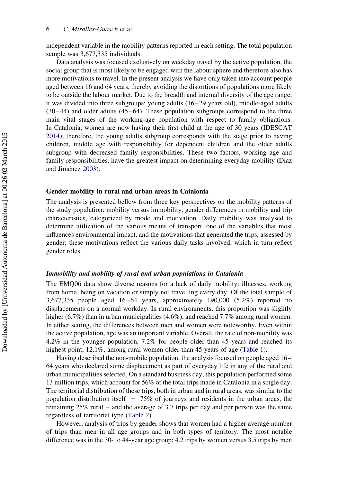independent variable in the mobility patterns reported in each setting. The total population sample was 3,677,335 individuals.

Data analysis was focused exclusively on weekday travel by the active population, the social group that is most likely to be engaged with the labour sphere and therefore also has more motivations to travel. In the present analysis we have only taken into account people aged between 16 and 64 years, thereby avoiding the distortions of populations more likely to be outside the labour market. Due to the breadth and internal diversity of the age range, it was divided into three subgroups: young adults (16 – 29 years old), middle-aged adults  $(30-44)$  and older adults  $(45-64)$ . These population subgroups correspond to the three main vital stages of the working-age population with respect to family obligations. In Catalonia, women are now having their first child at the age of 30 years (IDESCAT [2014](#page-18-0)); therefore, the young adults subgroup corresponds with the stage prior to having children, middle age with responsibility for dependent children and the older adults subgroup with decreased family responsibilities. These two factors, working age and family responsibilities, have the greatest impact on determining everyday mobility (Díaz and Jiménez [2003\)](#page-18-0).

#### Gender mobility in rural and urban areas in Catalonia

The analysis is presented bellow from three key perspectives on the mobility patterns of the study population: mobility versus immobility, gender differences in mobility and trip characteristics, categorized by mode and motivation. Daily mobility was analysed to determine utilization of the various means of transport, one of the variables that most influences environmental impact, and the motivations that generated the trips, assessed by gender; these motivations reflect the various daily tasks involved, which in turn reflect gender roles.

#### Immobility and mobility of rural and urban populations in Catalonia

The EMQ06 data show diverse reasons for a lack of daily mobility: illnesses, working from home, being on vacation or simply not travelling every day. Of the total sample of 3,677,335 people aged 16 –64 years, approximately 190,000 (5.2%) reported no displacements on a normal workday. In rural environments, this proportion was slightly higher (6.7%) than in urban municipalities (4.6%), and reached 7.7% among rural women. In either setting, the differences between men and women were noteworthy. Even within the active population, age was an important variable. Overall, the rate of non-mobility was 4.2% in the younger population, 7.2% for people older than 45 years and reached its highest point, 12.1%, among rural women older than 45 years of age ([Table 1](#page-8-0)).

Having described the non-mobile population, the analysis focused on people aged 16 – 64 years who declared some displacement as part of everyday life in any of the rural and urban municipalities selected. On a standard business day, this population performed some 13 million trips, which account for 56% of the total trips made in Catalonia in a single day. The territorial distribution of these trips, both in urban and in rural areas, was similar to the population distribution itself  $-75\%$  of journeys and residents in the urban areas, the remaining 25% rural – and the average of 3.7 trips per day and per person was the same regardless of territorial type ([Table 2\)](#page-8-0).

However, analysis of trips by gender shows that women had a higher average number of trips than men in all age groups and in both types of territory. The most notable difference was in the 30- to 44-year age group: 4.2 trips by women versus 3.5 trips by men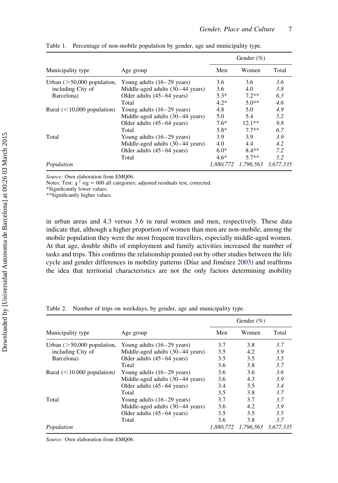|                               |                                            | Gender $(\% )$ |           |           |  |
|-------------------------------|--------------------------------------------|----------------|-----------|-----------|--|
| Municipality type             | Age group                                  | Men            | Women     | Total     |  |
| Urban $(> 50,000$ population, | Young adults $(16-29 \text{ years})$       | 3.6            | 3.6       | 3.6       |  |
| including City of             | Middle-aged adults $(30-44 \text{ years})$ | 3.6            | 4.0       | 3.8       |  |
| Barcelona)                    | Older adults $(45-64 \text{ years})$       | $5.3*$         | $7.2**$   | 6.3       |  |
|                               | Total                                      | $4.2*$         | $5.0**$   | 4.6       |  |
| Rural $(< 10,000$ population) | Young adults $(16-29 \text{ years})$       | 4.8            | 5.0       | 4.9       |  |
|                               | Middle-aged adults (30–44 years)           | 5.0            | 5.4       | 5.2       |  |
|                               | Older adults $(45-64 \text{ years})$       | $7.6*$         | $12.1**$  | 9.8       |  |
|                               | Total                                      | $5.8*$         | $7.7**$   | 6.7       |  |
| Total                         | Young adults $(16-29 \text{ years})$       | 3.9            | 3.9       | 3.9       |  |
|                               | Middle-aged adults $(30-44 \text{ years})$ | 4.0            | 4.4       | 4.2       |  |
|                               | Older adults $(45-64 \text{ years})$       | $6.0*$         | $8.4**$   | 7.2       |  |
|                               | Total                                      | $4.6*$         | $5.7**$   | 5.2       |  |
| Population                    |                                            | 1.880.772      | 1.796.563 | 3.677.335 |  |

<span id="page-8-0"></span>Table 1. Percentage of non-mobile population by gender, age and municipality type.

Source: Own elaboration from EMQ06.

Notes: Test:  $\chi^2$  sig = 000 all categories; adjusted residuals test, corrected.

\*Significantly lower values.

\*\*Significantly higher values.

in urban areas and 4.3 versus 3.6 in rural women and men, respectively. These data indicate that, although a higher proportion of women than men are non-mobile, among the mobile population they were the most frequent travellers, especially middle-aged women. At that age, double shifts of employment and family activities increased the number of tasks and trips. This confirms the relationship pointed out by other studies between the life cycle and gender differences in mobility patterns (Díaz and Jiménez [2003](#page-18-0)) and reaffirms the idea that territorial characteristics are not the only factors determining mobility

| Table 2. Number of trips on weekdays, by gender, age and municipality type. |  |  |  |
|-----------------------------------------------------------------------------|--|--|--|
|                                                                             |  |  |  |

|                                |                                            | Gender $(\%)$ |           |           |  |
|--------------------------------|--------------------------------------------|---------------|-----------|-----------|--|
| Municipality type              | Age group                                  | Men           | Women     | Total     |  |
| Urban $($ > 50,000 population, | Young adults $(16-29 \text{ years})$       | 3.7           | 3.8       | 3.7       |  |
| including City of              | Middle-aged adults $(30-44 \text{ years})$ | 3.5           | 4.2       | 3.9       |  |
| Barcelona)                     | Older adults $(45-64 \text{ years})$       | 3.5           | 3.5       | 3.5       |  |
|                                | Total                                      | 3.6           | 3.8       | 3.7       |  |
| Rural $(< 10.000$ population)  | Young adults $(16-29 \text{ years})$       | 3.6           | 3.6       | 3.6       |  |
|                                | Middle-aged adults $(30-44 \text{ years})$ | 3.6           | 4.3       | 3.9       |  |
|                                | Older adults $(45-64 \text{ years})$       | 3.4           | 3.5       | 3.4       |  |
|                                | Total                                      | 3.5           | 3.8       | 3.7       |  |
| Total                          | Young adults $(16-29 \text{ years})$       | 3.7           | 3.7       | 3.7       |  |
|                                | Middle-aged adults (30–44 years)           | 3.6           | 4.2       | 3.9       |  |
|                                | Older adults $(45-64 \text{ years})$       | 3.5           | 3.5       | 3.5       |  |
|                                | Total                                      | 3.6           | 3.8       | 3.7       |  |
| Population                     |                                            | 1,880,772     | 1,796,563 | 3.677.335 |  |

Source: Own elaboration from EMQ06.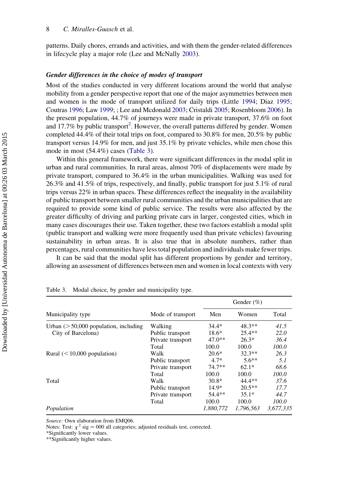<span id="page-9-0"></span>patterns. Daily chores, errands and activities, and with them the gender-related differences in lifecycle play a major role (Lee and McNally [2003\)](#page-19-0).

# Gender differences in the choice of modes of transport

Most of the studies conducted in very different locations around the world that analyse mobility from a gender perspective report that one of the major asymmetries between men and women is the mode of transport utilized for daily trips (Little [1994;](#page-19-0) Diaz [1995](#page-18-0); Coutras [1996](#page-18-0); Law [1999](#page-18-0); ; Lee and Mcdonald [2003;](#page-19-0) Cristaldi [2005](#page-18-0); Rosenbloom [2006\)](#page-20-0). In the present population, 44.7% of journeys were made in private transport, 37.6% on foot and  $17.7\%$  by public transport<sup>[2](#page-17-0)</sup>. However, the overall patterns differed by gender. Women completed 44.4% of their total trips on foot, compared to 30.8% for men, 20.5% by public transport versus 14.9% for men, and just 35.1% by private vehicles, while men chose this mode in most (54.4%) cases (Table 3).

Within this general framework, there were significant differences in the modal split in urban and rural communities. In rural areas, almost 70% of displacements were made by private transport, compared to 36.4% in the urban municipalities. Walking was used for 26.3% and 41.5% of trips, respectively, and finally, public transport for just 5.1% of rural trips versus 22% in urban spaces. These differences reflect the inequality in the availability of public transport between smaller rural communities and the urban municipalities that are required to provide some kind of public service. The results were also affected by the greater difficulty of driving and parking private cars in larger, congested cities, which in many cases discourages their use. Taken together, these two factors establish a modal split (public transport and walking were more frequently used than private vehicles) favouring sustainability in urban areas. It is also true that in absolute numbers, rather than percentages, rural communities have less total population and individuals make fewer trips.

It can be said that the modal split has different proportions by gender and territory, allowing an assessment of differences between men and women in local contexts with very

| Municipality type                       | Mode of transport | Men       | Women     | Total     |
|-----------------------------------------|-------------------|-----------|-----------|-----------|
| Urban $(> 50,000$ population, including | Walking           | $34.4*$   | $48.3**$  | 41.5      |
| City of Barcelona)                      | Public transport  | $18.6*$   | $25.4**$  | 22.0      |
|                                         | Private transport | $47.0**$  | $26.3*$   | 36.4      |
|                                         | Total             | 100.0     | 100.0     | 100.0     |
| Rural $(< 10,000$ population)           | Walk              | $20.6*$   | $32.3**$  | 26.3      |
|                                         | Public transport  | $4.7*$    | $5.6**$   | .5. I     |
|                                         | Private transport | $74.7**$  | $62.1*$   | 68.6      |
|                                         | Total             | 100.0     | 100.0     | 100.0     |
| Total                                   | Walk              | $30.8*$   | $44.4**$  | 37.6      |
|                                         | Public transport  | $14.9*$   | $20.5**$  | 17.7      |
|                                         | Private transport | $54.4**$  | $35.1*$   | 44.7      |
|                                         | Total             | 100.0     | 100.0     | 100.0     |
| Population                              |                   | 1.880.772 | 1.796.563 | 3,677,335 |

Table 3. Modal choice, by gender and municipality type.

Source: Own elaboration from EMQ06.

Notes: Test:  $\chi^2$  sig = 000 all categories; adjusted residuals test, corrected.

\*Significantly lower values.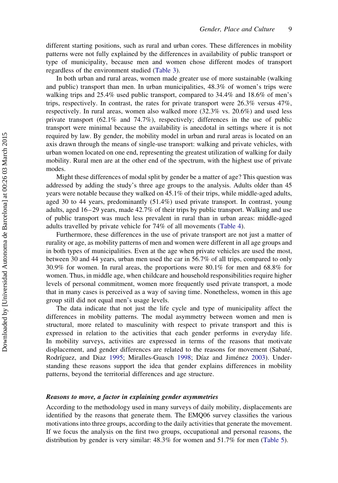different starting positions, such as rural and urban cores. These differences in mobility patterns were not fully explained by the differences in availability of public transport or type of municipality, because men and women chose different modes of transport regardless of the environment studied [\(Table 3](#page-9-0)).

In both urban and rural areas, women made greater use of more sustainable (walking and public) transport than men. In urban municipalities, 48.3% of women's trips were walking trips and 25.4% used public transport, compared to 34.4% and 18.6% of men's trips, respectively. In contrast, the rates for private transport were 26.3% versus 47%, respectively. In rural areas, women also walked more (32.3% vs. 20.6%) and used less private transport (62.1% and 74.7%), respectively; differences in the use of public transport were minimal because the availability is anecdotal in settings where it is not required by law. By gender, the mobility model in urban and rural areas is located on an axis drawn through the means of single-use transport: walking and private vehicles, with urban women located on one end, representing the greatest utilization of walking for daily mobility. Rural men are at the other end of the spectrum, with the highest use of private modes.

Might these differences of modal split by gender be a matter of age? This question was addressed by adding the study's three age groups to the analysis. Adults older than 45 years were notable because they walked on 45.1% of their trips, while middle-aged adults, aged 30 to 44 years, predominantly (51.4%) used private transport. In contrast, young adults, aged  $16-29$  years, made  $42.7\%$  of their trips by public transport. Walking and use of public transport was much less prevalent in rural than in urban areas: middle-aged adults travelled by private vehicle for 74% of all movements ([Table 4\)](#page-11-0).

Furthermore, these differences in the use of private transport are not just a matter of rurality or age, as mobility patterns of men and women were different in all age groups and in both types of municipalities. Even at the age when private vehicles are used the most, between 30 and 44 years, urban men used the car in 56.7% of all trips, compared to only 30.9% for women. In rural areas, the proportions were 80.1% for men and 68.8% for women. Thus, in middle age, when childcare and household responsibilities require higher levels of personal commitment, women more frequently used private transport, a mode that in many cases is perceived as a way of saving time. Nonetheless, women in this age group still did not equal men's usage levels.

The data indicate that not just the life cycle and type of municipality affect the differences in mobility patterns. The modal asymmetry between women and men is structural, more related to masculinity with respect to private transport and this is expressed in relation to the activities that each gender performs in everyday life. In mobility surveys, activities are expressed in terms of the reasons that motivate displacement, and gender differences are related to the reasons for movement (Sabaté, Rodríguez, and Diaz [1995](#page-20-0); Miralles-Guasch [1998;](#page-19-0) Díaz and Jiménez [2003\)](#page-18-0). Understanding these reasons support the idea that gender explains differences in mobility patterns, beyond the territorial differences and age structure.

#### Reasons to move, a factor in explaining gender asymmetries

According to the methodology used in many surveys of daily mobility, displacements are identified by the reasons that generate them. The EMQ06 survey classifies the various motivations into three groups, according to the daily activities that generate the movement. If we focus the analysis on the first two groups, occupational and personal reasons, the distribution by gender is very similar: 48.3% for women and 51.7% for men ([Table 5\)](#page-11-0).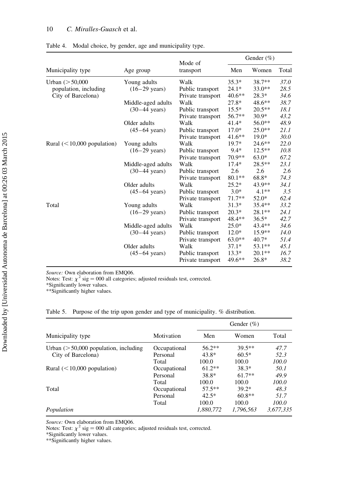<span id="page-11-0"></span>

| Table 4. Modal choice, by gender, age and municipality type. |  |
|--------------------------------------------------------------|--|
|--------------------------------------------------------------|--|

|                               |                           | Mode of           |           | Gender $(\%)$ |       |  |
|-------------------------------|---------------------------|-------------------|-----------|---------------|-------|--|
| Municipality type             | Age group                 | transport         | Men       | Women         | Total |  |
| Urban $($ >50,000             | Young adults              | Walk              | $35.3*$   | 38.7**        | 37.0  |  |
| population, including         | $(16-29 \text{ years})$   | Public transport  | $24.1*$   | $33.0**$      | 28.5  |  |
| City of Barcelona)            |                           | Private transport | $40.6**$  | $28.3*$       | 34.6  |  |
|                               | Middle-aged adults        | Walk              | $27.8*$   | $48.6***$     | 38.7  |  |
|                               | $(30-44 \text{ years})$   | Public transport  | $15.5*$   | $20.5**$      | 18.1  |  |
|                               |                           | Private transport | 56.7**    | $30.9*$       | 43.2  |  |
|                               | Older adults              | Walk              | $41.4*$   | 56.0**        | 48.9  |  |
|                               | $(45 - 64 \text{ years})$ | Public transport  | $17.0*$   | 25.0**        | 21.1  |  |
|                               |                           | Private transport | $41.6***$ | $19.0*$       | 30.0  |  |
| Rural $(< 10,000$ population) | Young adults              | Walk              | $19.7*$   | $24.6***$     | 22.0  |  |
|                               | $(16-29 \text{ years})$   | Public transport  | $9.4*$    | $12.5**$      | 10.8  |  |
|                               |                           | Private transport | $70.9**$  | $63.0*$       | 67.2  |  |
|                               | Middle-aged adults        | Walk              | $17.4*$   | 28.5**        | 23.1  |  |
|                               | $(30-44 \text{ years})$   | Public transport  | 2.6       | 2.6           | 2.6   |  |
|                               |                           | Private transport | 80.1**    | 68.8*         | 74.3  |  |
|                               | Older adults              | Walk              | $25.2*$   | 43.9**        | 34. I |  |
|                               | $(45 - 64 \text{ years})$ | Public transport  | $3.0*$    | $4.1**$       | 3.5   |  |
|                               |                           | Private transport | $71.7**$  | $52.0*$       | 62.4  |  |
| Total                         | Young adults              | Walk              | $31.3*$   | $35.4**$      | 33.2  |  |
|                               | $(16-29 \text{ years})$   | Public transport  | $20.3*$   | 28.1**        | 24.I  |  |
|                               |                           | Private transport | $48.4**$  | $36.5*$       | 42.7  |  |
|                               | Middle-aged adults        | Walk              | $25.0*$   | $43.4**$      | 34.6  |  |
|                               | $(30-44 \text{ years})$   | Public transport  | $12.0*$   | $15.9**$      | 14.0  |  |
|                               |                           | Private transport | $63.0**$  | $40.7*$       | 51.4  |  |
|                               | Older adults              | Walk              | $37.1*$   | $53.1**$      | 45.1  |  |
|                               | $(45 - 64 \text{ years})$ | Public transport  | $13.3*$   | $20.1**$      | 16.7  |  |
|                               |                           | Private transport | 49.6**    | $26.8*$       | 38.2  |  |

Source: Own elaboration from EMQ06.

Notes: Test:  $\chi^2$  sig = 000 all categories; adjusted residuals test, corrected. \*Significantly lower values.

\*\*Significantly higher values.

Table 5. Purpose of the trip upon gender and type of municipality. % distribution.

|                                         |              |           | Gender $(\%)$ |           |  |
|-----------------------------------------|--------------|-----------|---------------|-----------|--|
| Municipality type                       | Motivation   | Men       | Women         | Total     |  |
| Urban $(> 50,000$ population, including | Occupational | $56.2**$  | $39.5**$      | 47.7      |  |
| City of Barcelona)                      | Personal     | $43.8*$   | $60.5*$       | 52.3      |  |
|                                         | Total        | 100.0     | 100.0         | 100.0     |  |
| Rural $(< 10,000$ population)           | Occupational | $61.2**$  | 38.3*         | 50.1      |  |
|                                         | Personal     | 38.8*     | $61.7**$      | 49.9      |  |
|                                         | Total        | 100.0     | 100.0         | 100.0     |  |
| Total                                   | Occupational | $57.5**$  | $39.2*$       | 48.3      |  |
|                                         | Personal     | $42.5*$   | $60.8**$      | 51.7      |  |
|                                         | Total        | 100.0     | 100.0         | 100.0     |  |
| Population                              |              | 1.880.772 | 1.796.563     | 3.677.335 |  |

Source: Own elaboration from EMQ06.<br>Notes: Test:  $\chi^2$  sig = 000 all categories; adjusted residuals test, corrected.<br>\*Significantly lower values.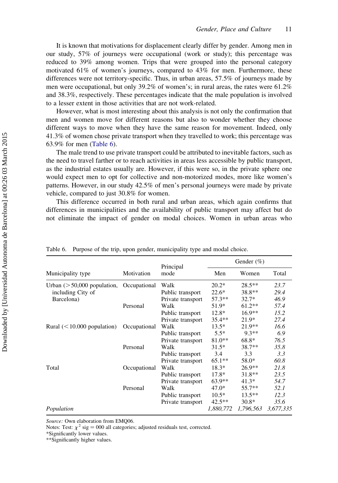It is known that motivations for displacement clearly differ by gender. Among men in our study, 57% of journeys were occupational (work or study); this percentage was reduced to 39% among women. Trips that were grouped into the personal category motivated 61% of women's journeys, compared to 43% for men. Furthermore, these differences were not territory-specific. Thus, in urban areas, 57.5% of journeys made by men were occupational, but only 39.2% of women's; in rural areas, the rates were 61.2% and 38.3%, respectively. These percentages indicate that the male population is involved to a lesser extent in those activities that are not work-related.

However, what is most interesting about this analysis is not only the confirmation that men and women move for different reasons but also to wonder whether they choose different ways to move when they have the same reason for movement. Indeed, only 41.3% of women chose private transport when they travelled to work; this percentage was 63.9% for men (Table 6).

The male trend to use private transport could be attributed to inevitable factors, such as the need to travel farther or to reach activities in areas less accessible by public transport, as the industrial estates usually are. However, if this were so, in the private sphere one would expect men to opt for collective and non-motorized modes, more like women's patterns. However, in our study 42.5% of men's personal journeys were made by private vehicle, compared to just 30.8% for women.

This difference occurred in both rural and urban areas, which again confirms that differences in municipalities and the availability of public transport may affect but do not eliminate the impact of gender on modal choices. Women in urban areas who

|                                 |              | Principal         | Gender $(\%)$ |           |           |
|---------------------------------|--------------|-------------------|---------------|-----------|-----------|
| Motivation<br>Municipality type |              | mode              | Men           | Women     | Total     |
| Urban $(> 50,000$ population,   | Occupational | Walk              | $20.2*$       | $28.5**$  | 23.7      |
| including City of               |              | Public transport  | $22.6*$       | 38.8**    | 29.4      |
| Barcelona)                      |              | Private transport | $57.3**$      | $32.7*$   | 46.9      |
|                                 | Personal     | Walk              | $51.9*$       | $61.2**$  | 57.4      |
|                                 |              | Public transport  | $12.8*$       | $16.9**$  | 15.2      |
|                                 |              | Private transport | $35.4**$      | $21.9*$   | 27.4      |
| Rural $(< 10.000$ population)   | Occupational | Walk              | $13.5*$       | $21.9**$  | 16.6      |
|                                 |              | Public transport  | $5.5*$        | $9.3**$   | 6.9       |
|                                 |              | Private transport | $81.0**$      | $68.8*$   | 76.5      |
|                                 | Personal     | Walk              | $31.5*$       | $38.7**$  | 35.8      |
|                                 |              | Public transport  | 3.4           | 3.3       | 3.3       |
|                                 |              | Private transport | $65.1**$      | 58.0*     | 60.8      |
| Total                           | Occupational | Walk              | $18.3*$       | $26.9**$  | 21.8      |
|                                 |              | Public transport  | $17.8*$       | $31.8**$  | 23.5      |
|                                 |              | Private transport | $63.9**$      | $41.3*$   | 54.7      |
|                                 | Personal     | Walk              | 47.0*         | 55.7**    | 52.1      |
|                                 |              | Public transport  | $10.5*$       | $13.5**$  | 12.3      |
|                                 |              | Private transport | $42.5***$     | $30.8*$   | 35.6      |
| Population                      |              |                   | 1,880,772     | 1,796,563 | 3,677,335 |

Table 6. Purpose of the trip, upon gender, municipality type and modal choice.

Source: Own elaboration from EMQ06.

Notes: Test:  $\chi^2$  sig = 000 all categories; adjusted residuals test, corrected. \*Significantly lower values.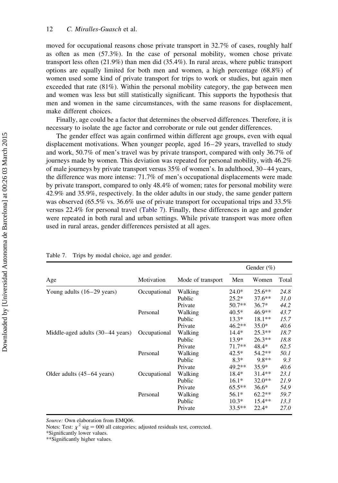moved for occupational reasons chose private transport in 32.7% of cases, roughly half as often as men  $(57.3\%)$ . In the case of personal mobility, women chose private transport less often (21.9%) than men did (35.4%). In rural areas, where public transport options are equally limited for both men and women, a high percentage (68.8%) of women used some kind of private transport for trips to work or studies, but again men exceeded that rate (81%). Within the personal mobility category, the gap between men and women was less but still statistically significant. This supports the hypothesis that men and women in the same circumstances, with the same reasons for displacement, make different choices.

Finally, age could be a factor that determines the observed differences. Therefore, it is necessary to isolate the age factor and corroborate or rule out gender differences.

The gender effect was again confirmed within different age groups, even with equal displacement motivations. When younger people, aged  $16-29$  years, travelled to study and work, 50.7% of men's travel was by private transport, compared with only 36.7% of journeys made by women. This deviation was repeated for personal mobility, with 46.2% of male journeys by private transport versus 35% of women's. In adulthood, 30 – 44 years, the difference was more intense: 71.7% of men's occupational displacements were made by private transport, compared to only 48.4% of women; rates for personal mobility were 42.9% and 35.9%, respectively. In the older adults in our study, the same gender pattern was observed (65.5% vs. 36.6% use of private transport for occupational trips and 33.5% versus 22.4% for personal travel (Table 7). Finally, these differences in age and gender were repeated in both rural and urban settings. While private transport was more often used in rural areas, gender differences persisted at all ages.

|                                            |              |                   | Gender $(\% )$ |          |             |
|--------------------------------------------|--------------|-------------------|----------------|----------|-------------|
| Age                                        | Motivation   | Mode of transport | Men            | Women    | Total       |
| Young adults $(16-29 \text{ years})$       | Occupational | Walking           | $24.0*$        | $25.6**$ | 24.8        |
|                                            |              | Public            | $25.2*$        | $37.6**$ | 31.0        |
|                                            |              | Private           | $50.7**$       | $36.7*$  | 44.2        |
|                                            | Personal     | Walking           | $40.5*$        | $46.9**$ | 43.7        |
|                                            |              | Public            | $13.3*$        | $18.1**$ | 15.7        |
|                                            |              | Private           | $46.2**$       | $35.0*$  | 40.6        |
| Middle-aged adults $(30-44 \text{ years})$ | Occupational | Walking           | $14.4*$        | $25.3**$ | 18.7        |
|                                            |              | Public            | $13.9*$        | $26.3**$ | 18.8        |
|                                            |              | Private           | $71.7**$       | $48.4*$  | 62.5        |
|                                            | Personal     | Walking           | $42.5*$        | $54.2**$ | <i>50.1</i> |
|                                            |              | Public            | $8.3*$         | $9.8**$  | 9.3         |
|                                            |              | Private           | $49.2**$       | $35.9*$  | 40.6        |
| Older adults $(45-64 \text{ years})$       | Occupational | Walking           | $18.4*$        | $31.4**$ | 23.1        |
|                                            |              | Public            | $16.1*$        | $32.0**$ | 21.9        |
|                                            |              | Private           | $65.5**$       | $36.6*$  | 54.9        |
|                                            | Personal     | Walking           | $56.1*$        | $62.2**$ | 59.7        |
|                                            |              | Public            | $10.3*$        | $15.4**$ | 13.3        |
|                                            |              | Private           | $33.5**$       | $22.4*$  | <i>27.0</i> |

Table 7. Trips by modal choice, age and gender.

Source: Own elaboration from EMQ06.

Notes: Test:  $\chi^2$  sig = 000 all categories; adjusted residuals test, corrected.

\*Significantly lower values.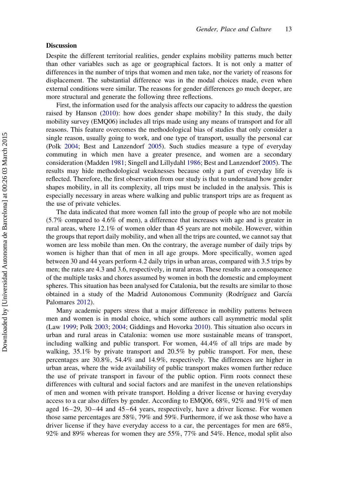#### Discussion

Despite the different territorial realities, gender explains mobility patterns much better than other variables such as age or geographical factors. It is not only a matter of differences in the number of trips that women and men take, nor the variety of reasons for displacement. The substantial difference was in the modal choices made, even when external conditions were similar. The reasons for gender differences go much deeper, are more structural and generate the following three reflections.

First, the information used for the analysis affects our capacity to address the question raised by Hanson [\(2010](#page-18-0)): how does gender shape mobility? In this study, the daily mobility survey (EMQ06) includes all trips made using any means of transport and for all reasons. This feature overcomes the methodological bias of studies that only consider a single reason, usually going to work, and one type of transport, usually the personal car (Polk [2004](#page-19-0); Best and Lanzendorf [2005\)](#page-17-0). Such studies measure a type of everyday commuting in which men have a greater presence, and women are a secondary consideration (Madden [1981;](#page-19-0) Singell and Lillydahl [1986;](#page-20-0) Best and Lanzendorf [2005](#page-17-0)). The results may hide methodological weaknesses because only a part of everyday life is reflected. Therefore, the first observation from our study is that to understand how gender shapes mobility, in all its complexity, all trips must be included in the analysis. This is especially necessary in areas where walking and public transport trips are as frequent as the use of private vehicles.

The data indicated that more women fall into the group of people who are not mobile (5.7% compared to 4.6% of men), a difference that increases with age and is greater in rural areas, where 12.1% of women older than 45 years are not mobile. However, within the groups that report daily mobility, and when all the trips are counted, we cannot say that women are less mobile than men. On the contrary, the average number of daily trips by women is higher than that of men in all age groups. More specifically, women aged between 30 and 44 years perform 4.2 daily trips in urban areas, compared with 3.5 trips by men; the rates are 4.3 and 3.6, respectively, in rural areas. These results are a consequence of the multiple tasks and chores assumed by women in both the domestic and employment spheres. This situation has been analysed for Catalonia, but the results are similar to those obtained in a study of the Madrid Autonomous Community (Rodríguez and García Palomares [2012\)](#page-19-0).

Many academic papers stress that a major difference in mobility patterns between men and women is in modal choice, which some authors call asymmetric modal split (Law [1999](#page-18-0); Polk [2003;](#page-19-0) [2004;](#page-19-0) Giddings and Hovorka [2010\)](#page-18-0). This situation also occurs in urban and rural areas in Catalonia: women use more sustainable means of transport, including walking and public transport. For women, 44.4% of all trips are made by walking, 35.1% by private transport and 20.5% by public transport. For men, these percentages are 30.8%, 54.4% and 14.9%, respectively. The differences are higher in urban areas, where the wide availability of public transport makes women further reduce the use of private transport in favour of the public option. Firm roots connect these differences with cultural and social factors and are manifest in the uneven relationships of men and women with private transport. Holding a driver license or having everyday access to a car also differs by gender. According to EMQ06, 68%, 92% and 91% of men aged  $16-29$ ,  $30-44$  and  $45-64$  years, respectively, have a driver license. For women those same percentages are 58%, 79% and 59%. Furthermore, if we ask those who have a driver license if they have everyday access to a car, the percentages for men are 68%, 92% and 89% whereas for women they are 55%, 77% and 54%. Hence, modal split also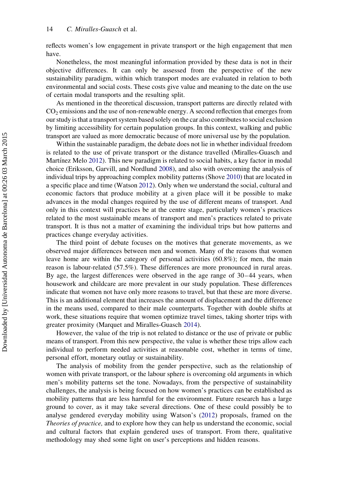reflects women's low engagement in private transport or the high engagement that men have.

Nonetheless, the most meaningful information provided by these data is not in their objective differences. It can only be assessed from the perspective of the new sustainability paradigm, within which transport modes are evaluated in relation to both environmental and social costs. These costs give value and meaning to the date on the use of certain modal transports and the resulting split.

As mentioned in the theoretical discussion, transport patterns are directly related with  $CO<sub>2</sub>$  emissions and the use of non-renewable energy. A second reflection that emerges from our study is that a transport system based solely on the car also contributes to social exclusion by limiting accessibility for certain population groups. In this context, walking and public transport are valued as more democratic because of more universal use by the population.

Within the sustainable paradigm, the debate does not lie in whether individual freedom is related to the use of private transport or the distance travelled (Miralles-Guasch and Martínez Melo [2012](#page-19-0)). This new paradigm is related to social habits, a key factor in modal choice (Eriksson, Garvill, and Nordlund [2008\)](#page-18-0), and also with overcoming the analysis of individual trips by approaching complex mobility patterns (Shove [2010](#page-20-0)) that are located in a specific place and time (Watson [2012\)](#page-20-0). Only when we understand the social, cultural and economic factors that produce mobility at a given place will it be possible to make advances in the modal changes required by the use of different means of transport. And only in this context will practices be at the centre stage, particularly women's practices related to the most sustainable means of transport and men's practices related to private transport. It is thus not a matter of examining the individual trips but how patterns and practices change everyday activities.

The third point of debate focuses on the motives that generate movements, as we observed major differences between men and women. Many of the reasons that women leave home are within the category of personal activities (60.8%); for men, the main reason is labour-related (57.5%). These differences are more pronounced in rural areas. By age, the largest differences were observed in the age range of  $30-44$  years, when housework and childcare are more prevalent in our study population. These differences indicate that women not have only more reasons to travel, but that these are more diverse. This is an additional element that increases the amount of displacement and the difference in the means used, compared to their male counterparts. Together with double shifts at work, these situations require that women optimize travel times, taking shorter trips with greater proximity (Marquet and Miralles-Guasch [2014\)](#page-19-0).

However, the value of the trip is not related to distance or the use of private or public means of transport. From this new perspective, the value is whether these trips allow each individual to perform needed activities at reasonable cost, whether in terms of time, personal effort, monetary outlay or sustainability.

The analysis of mobility from the gender perspective, such as the relationship of women with private transport, or the labour sphere is overcoming old arguments in which men's mobility patterns set the tone. Nowadays, from the perspective of sustainability challenges, the analysis is being focused on how women's practices can be established as mobility patterns that are less harmful for the environment. Future research has a large ground to cover, as it may take several directions. One of these could possibly be to analyse gendered everyday mobility using Watson's ([2012\)](#page-20-0) proposals, framed on the Theories of practice, and to explore how they can help us understand the economic, social and cultural factors that explain gendered uses of transport. From there, qualitative methodology may shed some light on user's perceptions and hidden reasons.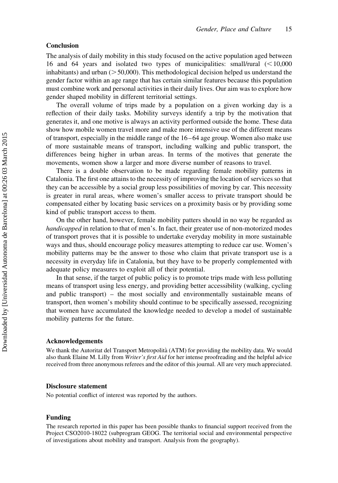#### Conclusion

The analysis of daily mobility in this study focused on the active population aged between 16 and 64 years and isolated two types of municipalities: small/rural  $($  < 10,000 inhabitants) and urban  $($ >50,000). This methodological decision helped us understand the gender factor within an age range that has certain similar features because this population must combine work and personal activities in their daily lives. Our aim was to explore how gender shaped mobility in different territorial settings.

The overall volume of trips made by a population on a given working day is a reflection of their daily tasks. Mobility surveys identify a trip by the motivation that generates it, and one motive is always an activity performed outside the home. These data show how mobile women travel more and make more intensive use of the different means of transport, especially in the middle range of the 16 –64 age group. Women also make use of more sustainable means of transport, including walking and public transport, the differences being higher in urban areas. In terms of the motives that generate the movements, women show a larger and more diverse number of reasons to travel.

There is a double observation to be made regarding female mobility patterns in Catalonia. The first one attains to the necessity of improving the location of services so that they can be accessible by a social group less possibilities of moving by car. This necessity is greater in rural areas, where women's smaller access to private transport should be compensated either by locating basic services on a proximity basis or by providing some kind of public transport access to them.

On the other hand, however, female mobility patters should in no way be regarded as handicapped in relation to that of men's. In fact, their greater use of non-motorized modes of transport proves that it is possible to undertake everyday mobility in more sustainable ways and thus, should encourage policy measures attempting to reduce car use. Women's mobility patterns may be the answer to those who claim that private transport use is a necessity in everyday life in Catalonia, but they have to be properly complemented with adequate policy measures to exploit all of their potential.

In that sense, if the target of public policy is to promote trips made with less polluting means of transport using less energy, and providing better accessibility (walking, cycling and public transport) – the most socially and environmentally sustainable means of transport, then women's mobility should continue to be specifically assessed, recognizing that women have accumulated the knowledge needed to develop a model of sustainable mobility patterns for the future.

#### Acknowledgements

We thank the Autoritat del Transport Metropolita` (ATM) for providing the mobility data. We would also thank Elaine M. Lilly from Writer's first Aid for her intense proofreading and the helpful advice received from three anonymous referees and the editor of this journal. All are very much appreciated.

#### Disclosure statement

No potential conflict of interest was reported by the authors.

#### Funding

The research reported in this paper has been possible thanks to financial support received from the Project CSO2010-18022 (subprogram GEOG. The territorial social and environmental perspective of investigations about mobility and transport. Analysis from the geography).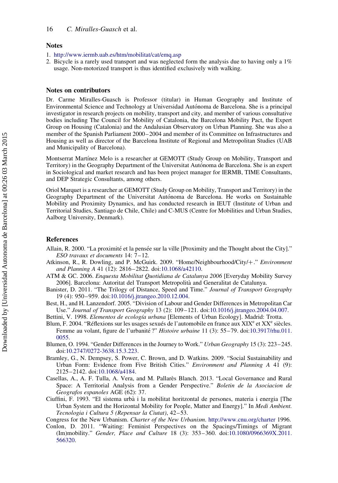#### <span id="page-17-0"></span>16 C. Miralles-Guasch et al.

#### Notes

- 1. <http://www.iermb.uab.es/htm/mobilitat/cat/emq.asp>
- 2. Bicycle is a rarely used transport and was neglected form the analysis due to having only a 1% usage. Non-motorized transport is thus identified exclusively with walking.

#### Notes on contributors

Dr. Carme Miralles-Guasch is Professor (titular) in Human Geography and Institute of Environmental Science and Technology at Universidad Autónoma de Barcelona. She is a principal investigator in research projects on mobility, transport and city, and member of various consultative bodies including The Council for Mobility of Catalonia, the Barcelona Mobility Pact, the Expert Group on Housing (Catalonia) and the Andalusian Observatory on Urban Planning. She was also a member of the Spanish Parliament 2000– 2004 and member of its Committee on Infrastructures and Housing as well as director of the Barcelona Institute of Regional and Metropolitan Studies (UAB and Municipality of Barcelona).

Montserrat Martínez Melo is a researcher at GEMOTT (Study Group on Mobility, Transport and Territory) in the Geography Department of the Universitat Autónoma de Barcelona. She is an expert in Sociological and market research and has been project manager for IERMB, TIME Consultants, and DEP Strategic Consultants, among others.

Oriol Marquet is a researcher at GEMOTT (Study Group on Mobility, Transport and Territory) in the Geography Department of the Universitat Autónoma de Barcelona. He works on Sustainable Mobility and Proximity Dynamics, and has conducted research in IEUT (Institute of Urban and Territorial Studies, Santiago de Chile, Chile) and C-MUS (Centre for Mobilities and Urban Studies, Aalborg University, Denmark).

#### References

- Allain, R. 2000. "La proximité et la pensée sur la ville [Proximity and the Thought about the City]." ESO travaux et documents 14: 7 – 12.
- Atkinson, R., R. Dowling, and P. McGuirk. 2009. "Home/Neighbourhood/City/+." Environment and Planning A 41 (12): 2816– 2822. doi:[10.1068/a42110](http://dx.doi.org/10.1068/a42110).
- ATM & GC. 2006. Enquesta Mobilitat Quotidiana de Catalunya 2006 [Everyday Mobility Survey 2006]. Barcelona: Autoritat del Transport Metropolita` and Generalitat de Catalunya.
- Banister, D. 2011. "The Trilogy of Distance, Speed and Time." Journal of Transport Geography 19 (4): 950– 959. doi:[10.1016/j.jtrangeo.2010.12.004.](http://dx.doi.org/10.1016/j.jtrangeo.2010.12.004)
- Best, H., and H. Lanzendorf. 2005. "Division of Labour and Gender Differences in Metropolitan Car Use." Journal of Transport Geography 13 (2): 109 –121. doi[:10.1016/j.jtrangeo.2004.04.007](http://dx.doi.org/10.1016/j.jtrangeo.2004.04.007).
- Bettini, V. 1998. *Elementos de ecología urbana* [Elements of Urban Ecology]. Madrid: Trotta.
- Blum, F. 2004. "Réflexions sur les usages sexués de l'automobile en france aux  $XIX<sup>e</sup>$  et  $XX<sup>e</sup>$  siècles. Femme au volant, figure de l'urbanité?" Histoire urbaine 11 (3): 55-79. doi[:10.3917/rhu.011.](http://dx.doi.org/10.3917/rhu.011.0055) [0055](http://dx.doi.org/10.3917/rhu.011.0055).
- Blumen, O. 1994. "Gender Differences in the Journey to Work." Urban Geography 15 (3): 223–245. doi[:10.2747/0272-3638.15.3.223](http://dx.doi.org/10.2747/0272-3638.15.3.223).
- Bramley, G., N. Dempsey, S. Power, C. Brown, and D. Watkins. 2009. "Social Sustainability and Urban Form: Evidence from Five British Cities." Environment and Planning A 41 (9): 2125– 2142. doi[:10.1068/a4184.](http://dx.doi.org/10.1068/a4184)
- Casellas, A., A. F. Tulla, A. Vera, and M. Pallare`s Blanch. 2013. "Local Governance and Rural Space: A Territorial Analysis from a Gender Perspective." Boletin de la Asociacion de Geografos espanoles AGE (62): 37.
- Ciuffini, F. 1993. "El sistema urba` i la mobilitat horitzontal de persones, materia i energia [The Urban System and the Horizontal Mobility for People, Matter and Energy]." In Medi Ambient. Tecnologia i Cultura 5 (Repensar la Ciutat), 42 – 53.
- Congress for the New Urbanism. Charter of the New Urbanism. <http://www.cnu.org/charter> 1996.
- Conlon, D. 2011. "Waiting: Feminist Perspectives on the Spacings/Timings of Migrant (Im)mobility." Gender, Place and Culture 18 (3): 353– 360. doi[:10.1080/0966369X.2011.](http://dx.doi.org/10.1080/0966369X.2011.566320) [566320.](http://dx.doi.org/10.1080/0966369X.2011.566320)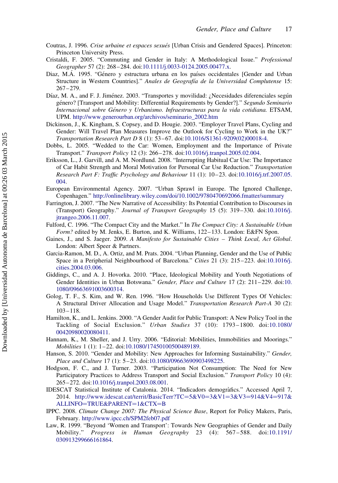- <span id="page-18-0"></span>Coutras, J. 1996. Crise urbaine et espaces sexués [Urban Crisis and Gendered Spaces]. Princeton: Princeton University Press.
- Cristaldi, F. 2005. "Commuting and Gender in Italy: A Methodological Issue." Professional Geographer 57 (2): 268– 284. doi[:10.1111/j.0033-0124.2005.00477.x.](http://dx.doi.org/10.1111/j.0033-0124.2005.00477.x)
- Diaz, M.Á. 1995. "Género y estructura urbana en los países occidentales [Gender and Urban Structure in Western Countries]." Anales de Geografía de la Universidad Complutense 15:  $267 - 279.$
- Díaz, M. A., and F. J. Jiménez. 2003. "Transportes y movilidad: ¿Necesidades diferenciales según género? [Transport and Mobility: Differential Requirements by Gender?]." Segundo Seminario Internacional sobre Género y Urbanismo. Infraestructuras para la vida cotidiana. ETSAM, UPM. [http://www.generourban.org/archivos/seminario\\_2002.htm](http://www.generourban.org/archivos/seminario_2002.htm)
- Dickinson, J., K. Kingham, S. Copsey, and D. Hougie. 2003. "Employer Travel Plans, Cycling and Gender: Will Travel Plan Measures Improve the Outlook for Cycling to Work in the UK?" Transportation Research Part D 8 (1): 53 – 67. doi:[10.1016/S1361-9209\(02\)00018-4](http://dx.doi.org/10.1016/S1361-9209(02)00018-4).
- Dobbs, L. 2005. "Wedded to the Car: Women, Employment and the Importance of Private Transport." Transport Policy 12 (3): 266– 278. doi:[10.1016/j.tranpol.2005.02.004.](http://dx.doi.org/10.1016/j.tranpol.2005.02.004)
- Eriksson, L., J. Garvill, and A. M. Nordlund. 2008. "Interrupting Habitual Car Use: The Importance of Car Habit Strength and Moral Motivation for Personal Car Use Reduction." Transportation Research Part F: Traffic Psychology and Behaviour 11 (1): 10– 23. doi[:10.1016/j.trf.2007.05.](http://dx.doi.org/10.1016/j.trf.2007.05.004) [004.](http://dx.doi.org/10.1016/j.trf.2007.05.004)
- European Environmental Agency. 2007. "Urban Sprawl in Europe. The Ignored Challenge, Copenhagen." <http://onlinelibrary.wiley.com/doi/10.1002/9780470692066.fmatter/summary>
- Farrington, J. 2007. "The New Narrative of Accessibility: Its Potential Contribution to Discourses in (Transport) Geography." Journal of Transport Geography 15 (5): 319–330. doi:[10.1016/j.](http://dx.doi.org/10.1016/j.jtrangeo.2006.11.007) [jtrangeo.2006.11.007.](http://dx.doi.org/10.1016/j.jtrangeo.2006.11.007)
- Fulford, C. 1996. "The Compact City and the Market." In The Compact City: A Sustainable Urban Form? edited by M. Jenks, E. Burton, and K. Williams, 122– 133. London: E&FN Spon.
- Gaines, J., and S. Jaeger. 2009. A Manifesto for Sustainable Cities Think Local, Act Global. London: Albert Speer & Partners.
- Garcia-Ramon, M. D., A. Ortiz, and M. Prats. 2004. "Urban Planning, Gender and the Use of Public Space in a Peripherial Neighbourhood of Barcelona." Cities 21 (3): 215 –223. doi:[10.1016/j.](http://dx.doi.org/10.1016/j.cities.2004.03.006) [cities.2004.03.006](http://dx.doi.org/10.1016/j.cities.2004.03.006).
- Giddings, C., and A. J. Hovorka. 2010. "Place, Ideological Mobility and Youth Negotiations of Gender Identities in Urban Botswana." Gender, Place and Culture 17 (2): 211-229. doi:[10.](http://dx.doi.org/10.1080/09663691003600314) [1080/09663691003600314.](http://dx.doi.org/10.1080/09663691003600314)
- Golog, T. F., S. Kim, and W. Ren. 1996. "How Households Use Different Types Of Vehicles: A Structural Driver Allocation and Usage Model." Transportation Research Part-A 30 (2): 103– 118.
- Hamilton, K., and L. Jenkins. 2000. "A Gender Audit for Public Transport: A New Policy Tool in the Tackling of Social Exclusion." Urban Studies 37 (10): 1793 –1800. doi:[10.1080/](http://dx.doi.org/10.1080/00420980020080411) [00420980020080411](http://dx.doi.org/10.1080/00420980020080411).
- Hannam, K., M. Sheller, and J. Urry. 2006. "Editorial: Mobilities, Immobilities and Moorings." Mobilities 1 (1): 1 – 22. doi:[10.1080/17450100500489189.](http://dx.doi.org/10.1080/17450100500489189)
- Hanson, S. 2010. "Gender and Mobility: New Approaches for Informing Sustainability." Gender, Place and Culture 17 (1): 5 – 23. doi:[10.1080/09663690903498225](http://dx.doi.org/10.1080/09663690903498225).
- Hodgson, F. C., and J. Turner. 2003. "Participation Not Consumption: The Need for New Participatory Practices to Address Transport and Social Exclusion." Transport Policy 10 (4): 265– 272. doi[:10.1016/j.tranpol.2003.08.001](http://dx.doi.org/10.1016/j.tranpol.2003.08.001).
- IDESCAT Statistical Institute of Catalonia. 2014. "Indicadors demogràfics." Accessed April 7, 2014. [http://www.idescat.cat/territ/BasicTerr?TC](http://www.idescat.cat/territ/BasicTerr?TC=5&V0=3&V1=3&V3=914&V4=917&ALLINFO=TRUE&PARENT=1&CTX=B)=5&V0=3&V1=3&V3=914&V4=917& ALLINFO=[TRUE&PARENT](http://www.idescat.cat/territ/BasicTerr?TC=5&V0=3&V1=3&V3=914&V4=917&ALLINFO=TRUE&PARENT=1&CTX=B)=1&CTX=B
- IPPC. 2008. Climate Change 2007: The Physical Science Base, Report for Policy Makers, Paris, February. <http://www.ipcc.ch/SPM2feb07.pdf>
- Law, R. 1999. "Beyond 'Women and Transport': Towards New Geographies of Gender and Daily Mobility." *Progress in Human Geography* 23 (4): 567–588. doi[:10.1191/](http://dx.doi.org/10.1191/030913299666161864) [030913299666161864.](http://dx.doi.org/10.1191/030913299666161864)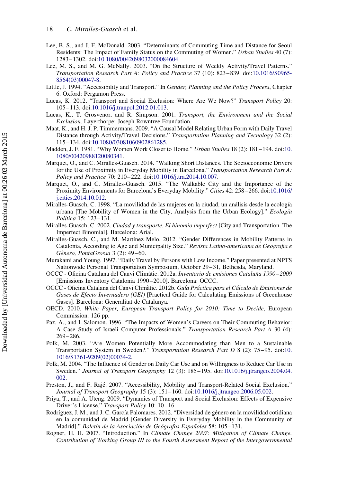- <span id="page-19-0"></span>Lee, B. S., and J. F. McDonald. 2003. "Determinants of Commuting Time and Distance for Seoul Residents: The Impact of Family Status on the Commuting of Women." Urban Studies 40 (7): 1283– 1302. doi[:10.1080/0042098032000084604.](http://dx.doi.org/10.1080/0042098032000084604)
- Lee, M. S., and M. G. McNally. 2003. "On the Structure of Weekly Activity/Travel Patterns." Transportation Research Part A: Policy and Practice 37 (10): 823–839. doi[:10.1016/S0965-](http://dx.doi.org/10.1016/S0965-8564(03)00047-8) [8564\(03\)00047-8.](http://dx.doi.org/10.1016/S0965-8564(03)00047-8)
- Little, J. 1994. "Accessibility and Transport." In Gender, Planning and the Policy Process, Chapter 6. Oxford: Pergamon Press.
- Lucas, K. 2012. "Transport and Social Exclusion: Where Are We Now?" Transport Policy 20: 105– 113. doi[:10.1016/j.tranpol.2012.01.013](http://dx.doi.org/10.1016/j.tranpol.2012.01.013).
- Lucas, K., T. Grosvenor, and R. Simpson. 2001. Transport, the Environment and the Social Exclusion. Layerthorpe: Joseph Rowntree Foundation.
- Maat, K., and H. J. P. Timmermans. 2009. "A Causal Model Relating Urban Form with Daily Travel Distance through Activity/Travel Decisions." Transportation Planning and Tecnology 32 (2): 115– 134. doi[:10.1080/03081060902861285](http://dx.doi.org/10.1080/03081060902861285).
- Madden, J. F. 1981. "Why Women Work Closer to Home." Urban Studies 18 (2): 181– 194. doi:[10.](http://dx.doi.org/10.1080/00420988120080341) [1080/00420988120080341.](http://dx.doi.org/10.1080/00420988120080341)
- Marquet, O., and C. Miralles-Guasch. 2014. "Walking Short Distances. The Socioeconomic Drivers for the Use of Proximity in Everyday Mobility in Barcelona." Transportation Research Part A: Policy and Practice 70: 210-222. doi[:10.1016/j.tra.2014.10.007.](http://dx.doi.org/10.1016/j.tra.2014.10.007)
- Marquet, O., and C. Miralles-Guasch. 2015. "The Walkable City and the Importance of the Proximity Environments for Barcelona's Everyday Mobility." Cities 42: 258-266. doi[:10.1016/](http://dx.doi.org/10.1016/j.cities.2014.10.012) [j.cities.2014.10.012.](http://dx.doi.org/10.1016/j.cities.2014.10.012)
- Miralles-Guasch, C. 1998. "La movilidad de las mujeres en la ciudad, un análisis desde la ecología urbana [The Mobility of Women in the City, Analysis from the Urban Ecology]." Ecología Política 15: 123-131.
- Miralles-Guasch, C. 2002. Ciudad y transporte. El binomio imperfect [City and Transportation. The Imperfect Binomial]. Barcelona: Arial.
- Miralles-Guasch, C., and M. Martínez Melo. 2012. "Gender Differences in Mobility Patterns in Catalonia, According to Age and Municipality Size." Revista Latino-americana de Geografia e Gênero, PontaGrossa 3 (2): 49-60.
- Murakami and Young. 1997. "Daily Travel by Persons with Low Income." Paper presented at NPTS Nationwide Personal Transportation Symposium, October 29 – 31, Bethesda, Maryland.
- OCCC Oficina Catalana del Canvi Climàtic. 2012a. Inventario de emisiones Cataluña 1990-2009 [Emissions Inventory Catalonia 1990– 2010]. Barcelona: OCCC.
- OCCC Oficina Catalana del Canvi Climàtic. 2012b. Guía Práctica para el Cálculo de Emisiones de Gases de Efecto Invernadero (GEI) [Practical Guide for Calculating Emissions of Greenhouse Gases]. Barcelona: Generalitat de Catalunya.
- OECD. 2010. White Paper, European Transport Policy for 2010: Time to Decide, European Commission. 126 pp.
- Paz, A., and I. Salomon. 1996. "The Impacts of Women's Careers on Their Commuting Behavior: A Case Study of Israeli Computer Professionals." Transportation Research Part A 30 (4): 269– 286.
- Polk, M. 2003. "Are Women Potentially More Accommodating than Men to a Sustainable Transportation System in Sweden?." Transportation Research Part D 8 (2): 75-95. doi:[10.](http://dx.doi.org/10.1016/S1361-9209(02)00034-2) [1016/S1361-9209\(02\)00034-2](http://dx.doi.org/10.1016/S1361-9209(02)00034-2).
- Polk, M. 2004. "The Influence of Gender on Daily Car Use and on Willingness to Reduce Car Use in Sweden." Journal of Transport Geography 12 (3): 185– 195. doi[:10.1016/j.jtrangeo.2004.04.](http://dx.doi.org/10.1016/j.jtrangeo.2004.04.002) [002.](http://dx.doi.org/10.1016/j.jtrangeo.2004.04.002)
- Preston, J., and F. Rajé. 2007. "Accessibility, Mobility and Transport-Related Social Exclusion." Journal of Transport Geography 15 (3): 151– 160. doi[:10.1016/j.jtrangeo.2006.05.002](http://dx.doi.org/10.1016/j.jtrangeo.2006.05.002).
- Priya, T., and A. Uteng. 2009. "Dynamics of Transport and Social Exclusion: Effects of Expensive Driver's License." Transport Policy 10: 10-16.
- Rodríguez, J. M., and J. C. García Palomares. 2012. "Diversidad de género en la movilidad cotidiana en la comunidad de Madrid [Gender Diversity in Everyday Mobility in the Community of Madrid]." Boletín de la Asociación de Geógrafos Españoles 58: 105-131.
- Rogner, H. H. 2007. "Introduction." In Climate Change 2007: Mitigation of Climate Change. Contribution of Working Group III to the Fourth Assessment Report of the Intergovernmental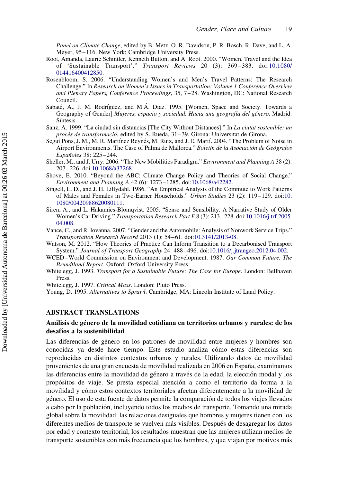<span id="page-20-0"></span>Panel on Climate Change, edited by B. Metz, O. R. Davidson, P. R. Bosch, R. Dave, and L. A. Meyer, 95-116. New York: Cambridge University Press.

- Root, Amanda, Laurie Schintler, Kenneth Button, and A. Root. 2000. "Women, Travel and the Idea of 'Sustainable Transport'." Transport Reviews 20 (3): 369 – 383. doi[:10.1080/](http://dx.doi.org/10.1080/014416400412850) [014416400412850](http://dx.doi.org/10.1080/014416400412850).
- Rosenbloom, S. 2006. "Understanding Women's and Men's Travel Patterns: The Research Challenge." In Research on Women's Issues in Transportation: Volume 1 Conference Overview and Plenary Papers, Conference Proceedings, 35, 7 – 28. Washington, DC: National Research Council.
- Sabaté, A., J. M. Rodríguez, and M.A. Diaz. 1995. [Women, Space and Society. Towards a Geography of Gender] Mujeres, espacio y sociedad. Hacia una geografía del género. Madrid: Síntesis.
- Sanz, A. 1999. "La ciudad sin distancias [The City Without Distances]." In La ciutat sostenible: un procés de transformació, edited by S. Rueda, 31-39. Girona: Universitat de Girona.
- Seguí Pons, J. M., M. R. Martínez Reynés, M. Ruiz, and J. E. Martí. 2004. "The Problem of Noise in Airport Environments. The Case of Palma de Mallorca." Boletín de la Asociación de Geógrafos Españoles 38: 225-244.
- Sheller, M., and J. Urry. 2006. "The New Mobilities Paradigm." Environment and Planning A 38 (2): 207– 226. doi[:10.1068/a37268](http://dx.doi.org/10.1068/a37268).
- Shove, E. 2010. "Beyond the ABC: Climate Change Policy and Theories of Social Change." Environment and Planning A 42 (6): 1273– 1285. doi:[10.1068/a42282.](http://dx.doi.org/10.1068/a42282)
- Singell, L. D., and J. H. Lillydahl. 1986. "An Empirical Analysis of the Commute to Work Patterns of Males and Females in Two-Earner Households." Urban Studies 23 (2): 119– 129. doi:[10.](http://dx.doi.org/10.1080/00420988620080111) [1080/00420988620080111.](http://dx.doi.org/10.1080/00420988620080111)
- Siren, A., and L. Hakamies-Blomqvist. 2005. "Sense and Sensibility. A Narrative Study of Older Women's Car Driving." Transportation Research Part F 8 (3): 213– 228. doi:[10.1016/j.trf.2005.](http://dx.doi.org/10.1016/j.trf.2005.04.008) [04.008.](http://dx.doi.org/10.1016/j.trf.2005.04.008)
- Vance, C., and R. Iovanna. 2007. "Gender and the Automobile: Analysis of Nonwork Service Trips." Transportation Research Record 2013 (1): 54 – 61. doi[:10.3141/2013-08.](http://dx.doi.org/10.3141/2013-08)
- Watson, M. 2012. "How Theories of Practice Can Inform Transition to a Decarbonised Transport System." Journal of Transport Geography 24: 488– 496. doi:[10.1016/j.jtrangeo.2012.04.002.](http://dx.doi.org/10.1016/j.jtrangeo.2012.04.002)
- WCED-World Commission on Environment and Development. 1987. Our Common Future. The Brundtland Report. Oxford: Oxford University Press.
- Whitelegg, J. 1993. Transport for a Sustainable Future: The Case for Europe. London: Bellhaven Press.
- Whitelegg, J. 1997. Critical Mass. London: Pluto Press.
- Young, D. 1995. Alternatives to Sprawl. Cambridge, MA: Lincoln Institute of Land Policy.

### ABSTRACT TRANSLATIONS

## Análisis de género de la movilidad cotidiana en territorios urbanos y rurales: de los desafíos a la sostenibilidad

Las diferencias de género en los patrones de movilidad entre mujeres y hombres son conocidas ya desde hace tiempo. Este estudio analiza cómo estas diferencias son reproducidas en distintos contextos urbanos y rurales. Utilizando datos de movilidad provenientes de una gran encuesta de movilidad realizada en 2006 en Espan˜a, examinamos las diferencias entre la movilidad de género a través de la edad, la elección modal y los propósitos de viaje. Se presta especial atención a como el territorio da forma a la movilidad y cómo estos contextos territoriales afectan diferentemente a la movilidad de género. El uso de esta fuente de datos permite la comparación de todos los viajes llevados a cabo por la población, incluyendo todos los medios de transporte. Tomando una mirada global sobre la movilidad, las relaciones desiguales que hombres y mujeres tienen con los diferentes medios de transporte se vuelven más visibles. Después de desagregar los datos por edad y contexto territorial, los resultados muestran que las mujeres utilizan medios de transporte sostenibles con más frecuencia que los hombres, y que viajan por motivos más